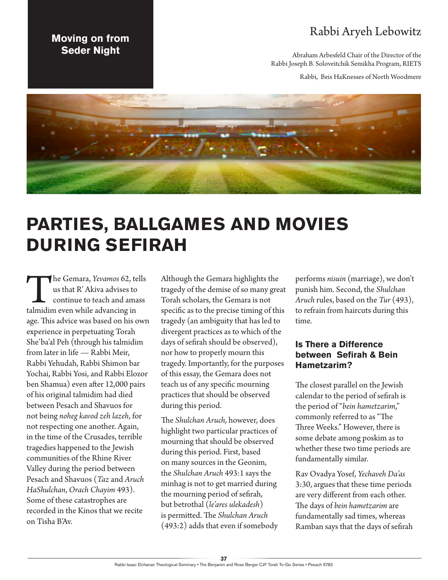### Rabbi Aryeh Lebowitz

Abraham Arbesfeld Chair of the Director of the Rabbi Joseph B. Soloveitchik Semikha Program, RIETS

Rabbi, Beis HaKnesses of North Woodmere



# **PARTIES, BALLGAMES AND MOVIES DURING SEFIRAH**

The Gemara, *Yevamos* 62, tells<br>
us that R' Akiva advises to<br>
continue to teach and amass<br>
talmidim even while advancing in us that R' Akiva advises to continue to teach and amass age. This advice was based on his own experience in perpetuating Torah She'ba'al Peh (through his talmidim from later in life — Rabbi Meir, Rabbi Yehudah, Rabbi Shimon bar Yochai, Rabbi Yosi, and Rabbi Elozor ben Shamua) even after 12,000 pairs of his original talmidim had died between Pesach and Shavuos for not being *noheg kavod zeh lazeh*, for not respecting one another. Again, in the time of the Crusades, terrible tragedies happened to the Jewish communities of the Rhine River Valley during the period between Pesach and Shavuos (*Taz* and *Aruch HaShulchan*, *Orach Chayim* 493). Some of these catastrophes are recorded in the Kinos that we recite on Tisha B'Av.

**Moving on from Seder Night**

> Although the Gemara highlights the tragedy of the demise of so many great Torah scholars, the Gemara is not specific as to the precise timing of this tragedy (an ambiguity that has led to divergent practices as to which of the days of sefirah should be observed), nor how to properly mourn this tragedy. Importantly, for the purposes of this essay, the Gemara does not teach us of any specific mourning practices that should be observed during this period.

The *Shulchan Aruch,* however, does highlight two particular practices of mourning that should be observed during this period. First, based on many sources in the Geonim, the *Shulchan Aruch* 493:1 says the minhag is not to get married during the mourning period of sefirah, but betrothal (*le'ares ulekadesh*) is permitted. The *Shulchan Aruch* (493:2) adds that even if somebody performs *nisuin* (marriage), we don't punish him. Second, the *Shulchan Aruch* rules, based on the *Tur* (493), to refrain from haircuts during this time.

#### **Is There a Difference between Sefirah & Bein Hametzarim?**

The closest parallel on the Jewish calendar to the period of sefirah is the period of "*bein hametzarim*," commonly referred to as "The Three Weeks." However, there is some debate among poskim as to whether these two time periods are fundamentally similar.

Rav Ovadya Yosef, *Yechaveh Da'as* 3:30, argues that these time periods are very different from each other. The days of *bein hametzarim* are fundamentally sad times, whereas Ramban says that the days of sefirah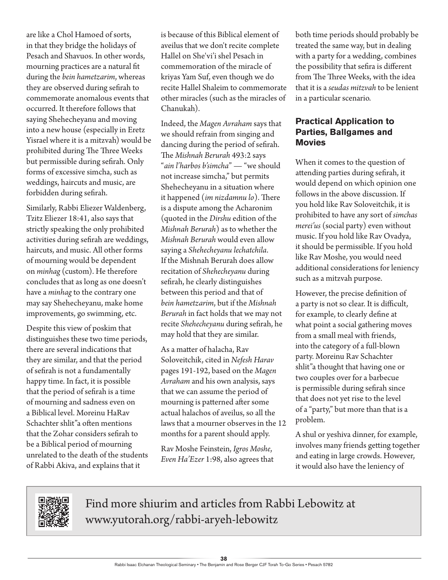are like a Chol Hamoed of sorts, in that they bridge the holidays of Pesach and Shavuos. In other words, mourning practices are a natural fit during the *bein hametzarim*, whereas they are observed during sefirah to commemorate anomalous events that occurred. It therefore follows that saying Shehecheyanu and moving into a new house (especially in Eretz Yisrael where it is a mitzvah) would be prohibited during The Three Weeks but permissible during sefirah. Only forms of excessive simcha, such as weddings, haircuts and music, are forbidden during sefirah.

Similarly, Rabbi Eliezer Waldenberg, Tzitz Eliezer 18:41, also says that strictly speaking the only prohibited activities during sefirah are weddings, haircuts, and music. All other forms of mourning would be dependent on *minhag* (custom). He therefore concludes that as long as one doesn't have a *minhag* to the contrary one may say Shehecheyanu, make home improvements, go swimming, etc.

Despite this view of poskim that distinguishes these two time periods, there are several indications that they are similar, and that the period of sefirah is not a fundamentally happy time. In fact, it is possible that the period of sefirah is a time of mourning and sadness even on a Biblical level. Moreinu HaRav Schachter shlit"a often mentions that the Zohar considers sefirah to be a Biblical period of mourning unrelated to the death of the students of Rabbi Akiva, and explains that it

is because of this Biblical element of aveilus that we don't recite complete Hallel on She'vi'i shel Pesach in commemoration of the miracle of kriyas Yam Suf, even though we do recite Hallel Shaleim to commemorate other miracles (such as the miracles of Chanukah).

Indeed, the *Magen Avraham* says that we should refrain from singing and dancing during the period of sefirah. The *Mishnah Berurah* 493:2 says "*ain l'harbos b'simcha*" — "we should not increase simcha," but permits Shehecheyanu in a situation where it happened (*im nizdamnu lo*). There is a dispute among the Acharonim (quoted in the *Dirshu* edition of the *Mishnah Berurah*) as to whether the *Mishnah Berurah* would even allow saying a *Shehecheyanu lechatchila*. If the Mishnah Berurah does allow recitation of *Shehecheyanu* during sefirah, he clearly distinguishes between this period and that of *bein hametzarim*, but if the *Mishnah Berurah* in fact holds that we may not recite *Shehecheyanu* during sefirah, he may hold that they are similar.

As a matter of halacha, Rav Soloveitchik, cited in *Nefesh Harav* pages 191-192, based on the *Magen Avraham* and his own analysis, says that we can assume the period of mourning is patterned after some actual halachos of aveilus, so all the laws that a mourner observes in the 12 months for a parent should apply.

Rav Moshe Feinstein, *Igros Moshe*, *Even Ha'Ezer* 1:98, also agrees that both time periods should probably be treated the same way, but in dealing with a party for a wedding, combines the possibility that sefira is different from The Three Weeks, with the idea that it is a *seudas mitzvah* to be lenient in a particular scenario.

#### **Practical Application to Parties, Ballgames and Movies**

When it comes to the question of attending parties during sefirah, it would depend on which opinion one follows in the above discussion. If you hold like Rav Soloveitchik, it is prohibited to have any sort of *simchas merei'us* (social party) even without music. If you hold like Rav Ovadya, it should be permissible. If you hold like Rav Moshe, you would need additional considerations for leniency such as a mitzvah purpose.

However, the precise definition of a party is not so clear. It is difficult, for example, to clearly define at what point a social gathering moves from a small meal with friends, into the category of a full-blown party. Moreinu Rav Schachter shlit"a thought that having one or two couples over for a barbecue is permissible during sefirah since that does not yet rise to the level of a "party," but more than that is a problem.

A shul or yeshiva dinner, for example, involves many friends getting together and eating in large crowds. However, it would also have the leniency of



Find more shiurim and articles from Rabbi Lebowitz at www.yutorah.org/rabbi-aryeh-lebowitz